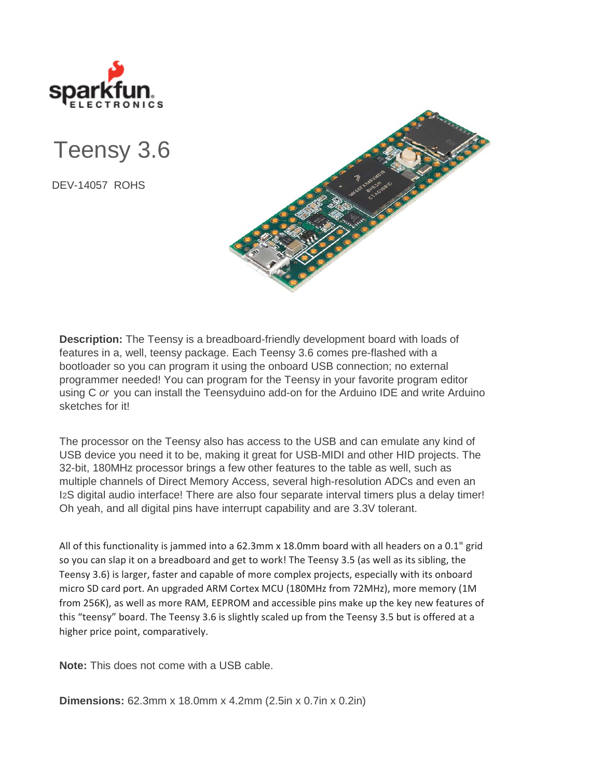

Teensy 3.6

DEV-14057 ROHS



**Description:** The Teensy is a breadboard-friendly development board with loads of features in a, well, teensy package. Each Teensy 3.6 comes pre-flashed with a bootloader so you can program it using the onboard USB connection; no external programmer needed! You can program for the Teensy in your favorite program editor using C *or* you can install the Teensyduino add-on for the Arduino IDE and write Arduino sketches for it!

The processor on the Teensy also has access to the USB and can emulate any kind of USB device you need it to be, making it great for USB-MIDI and other HID projects. The 32-bit, 180MHz processor brings a few other features to the table as well, such as multiple channels of Direct Memory Access, several high-resolution ADCs and even an I2S digital audio interface! There are also four separate interval timers plus a delay timer! Oh yeah, and all digital pins have interrupt capability and are 3.3V tolerant.

All of this functionality is jammed into a 62.3mm x 18.0mm board with all headers on a 0.1" grid so you can slap it on a breadboard and get to work! The Teensy 3.5 (as well as its sibling, the Teensy 3.6) is larger, faster and capable of more complex projects, especially with its onboard micro SD card port. An upgraded ARM Cortex MCU (180MHz from 72MHz), more memory (1M from 256K), as well as more RAM, EEPROM and accessible pins make up the key new features of this "teensy" board. The Teensy 3.6 is slightly scaled up from the Teensy 3.5 but is offered at a higher price point, comparatively.

**Note:** This does not come with a USB cable.

**Dimensions:** 62.3mm x 18.0mm x 4.2mm (2.5in x 0.7in x 0.2in)